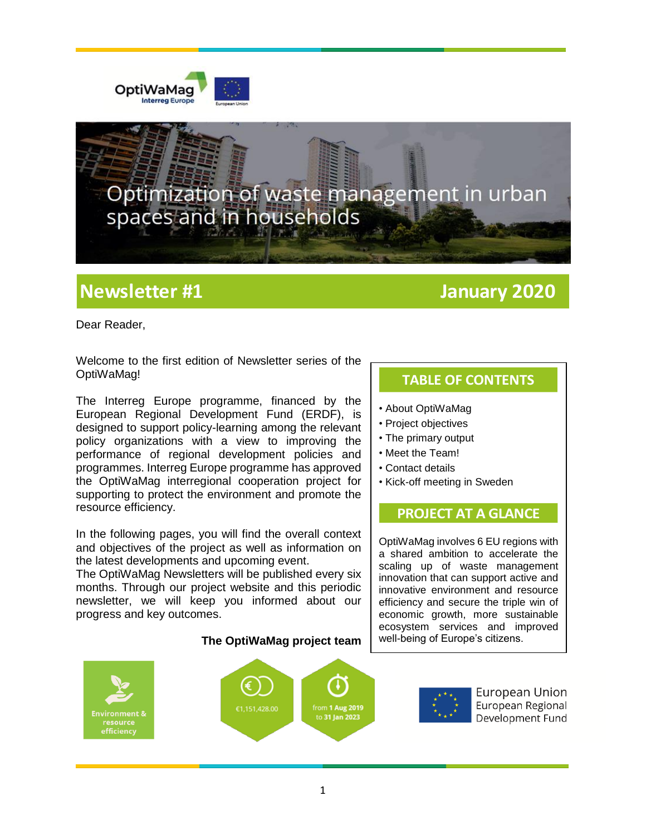



# **Newsletter #1 January 2020**

Dear Reader,

Welcome to the first edition of Newsletter series of the OptiWaMag!

The Interreg Europe programme, financed by the European Regional Development Fund (ERDF), is designed to support policy-learning among the relevant policy organizations with a view to improving the performance of regional development policies and programmes. Interreg Europe programme has approved the OptiWaMag interregional cooperation project for supporting to protect the environment and promote the resource efficiency.

In the following pages, you will find the overall context and objectives of the project as well as information on the latest developments and upcoming event.

The OptiWaMag Newsletters will be published every six months. Through our project website and this periodic newsletter, we will keep you informed about our progress and key outcomes.

## í from 1 Au<mark>g 2019</mark> **Environment 8** to 31 Jan 2023 efficiency

**The OptiWaMag project team** 

## **TABLE OF CONTENTS**

- About OptiWaMag
- Project objectives
- The primary output
- Meet the Team!
- Contact details
- Kick-off meeting in Sweden

### **PROJECT AT A GLANCE**

OptiWaMag involves 6 EU regions with a shared ambition to accelerate the scaling up of waste management innovation that can support active and innovative environment and resource efficiency and secure the triple win of economic growth, more sustainable ecosystem services and improved well-being of Europe's citizens.



European Union European Regional Development Fund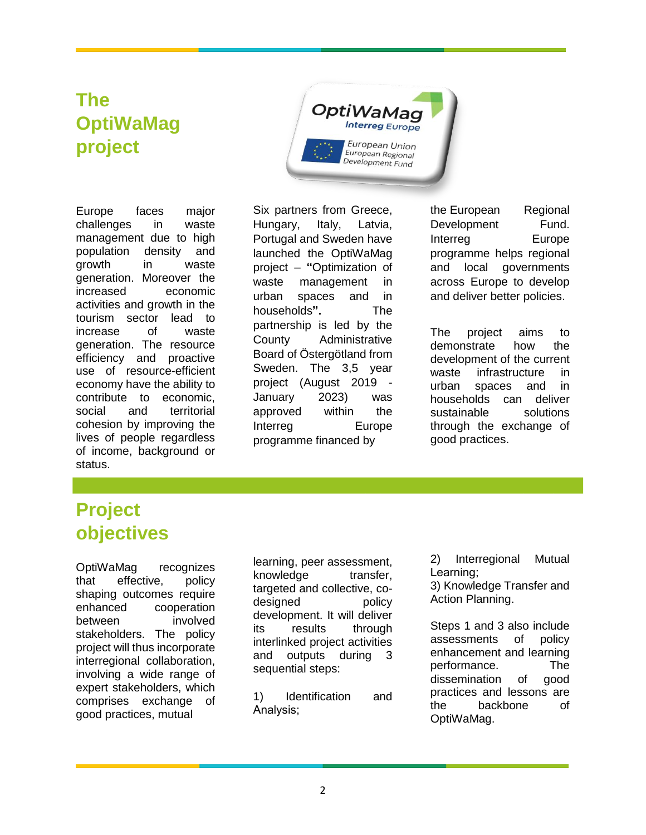# **The OptiWaMag project**

OptiWaMag Interreg Europe European Union European Regional Development Fund

Europe faces major challenges in waste management due to high population density and growth in waste generation. Moreover the increased economic activities and growth in the tourism sector lead to increase of waste generation. The resource efficiency and proactive use of resource-efficient economy have the ability to contribute to economic, social and territorial cohesion by improving the lives of people regardless of income, background or status.

Six partners from Greece, Hungary, Italy, Latvia, Portugal and Sweden have launched the OptiWaMag project – **"**Optimization of waste management in urban spaces and in households**".** The partnership is led by the County Administrative Board of Östergötland from Sweden. The 3,5 year project (August 2019 - January 2023) was approved within the Interreg Europe programme financed by

the European Regional Development Fund. Interreg Europe programme helps regional and local governments across Europe to develop and deliver better policies.

The project aims to demonstrate how the development of the current waste infrastructure in urban spaces and in households can deliver sustainable solutions through the exchange of good practices.

# **Project objectives**

OptiWaMag recognizes that effective, policy shaping outcomes require enhanced cooperation between involved stakeholders. The policy project will thus incorporate interregional collaboration, involving a wide range of expert stakeholders, which comprises exchange of good practices, mutual

learning, peer assessment, knowledge transfer, targeted and collective, codesigned policy development. It will deliver its results through interlinked project activities and outputs during 3 sequential steps:

1) Identification and Analysis;

2) Interregional Mutual Learning;

3) Knowledge Transfer and Action Planning.

Steps 1 and 3 also include assessments of policy enhancement and learning performance. The dissemination of good practices and lessons are the backbone of OptiWaMag.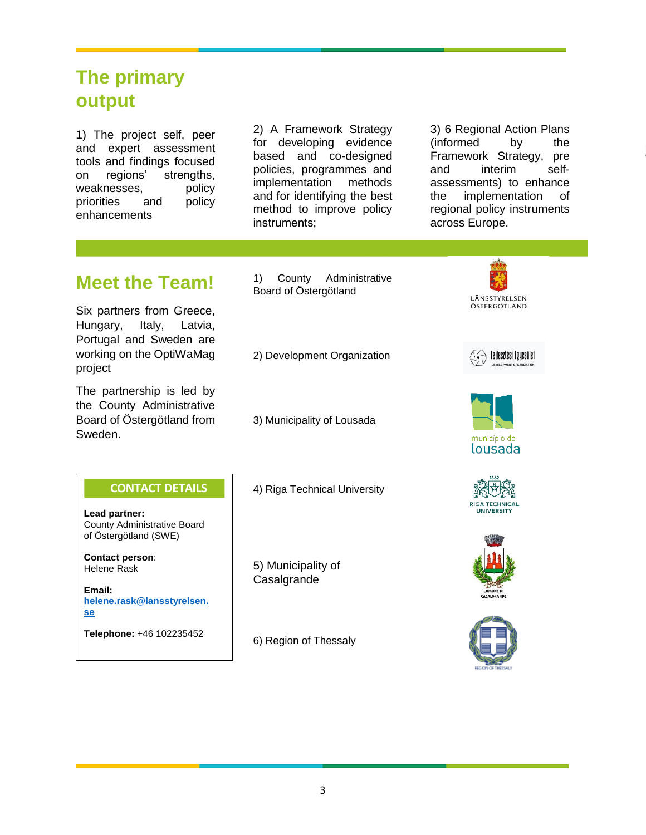# **The primary output**

1) The project self, peer and expert assessment tools and findings focused on regions' strengths, weaknesses, policy priorities and policy enhancements

2) A Framework Strategy for developing evidence based and co-designed policies, programmes and implementation methods and for identifying the best method to improve policy instruments;

3) 6 Regional Action Plans (informed by the Framework Strategy, pre and interim selfassessments) to enhance the implementation of regional policy instruments across Europe.

# **Meet the Team!**

Six partners from Greece, Hungary, Italy, Latvia, Portugal and Sweden are working on the OptiWaMag project

The partnership is led by the County Administrative Board of Östergötland from Sweden.

County Administrative Board of Östergötland (SWE)

**CONTACT DETAILS**

**[helene.rask@lansstyrelsen.](mailto:helene.rask@lansstyrelsen.se)**

**Telephone:** +46 102235452

**Lead partner:** 

**Contact person**: Helene Rask

**Email:** 

**[se](mailto:helene.rask@lansstyrelsen.se)**

1) County Administrative Board of Östergötland

2) Development Organization

3) Municipality of Lousada

4) Riga Technical University

5) Municipality of **Casalgrande** 

6) Region of Thessaly













3